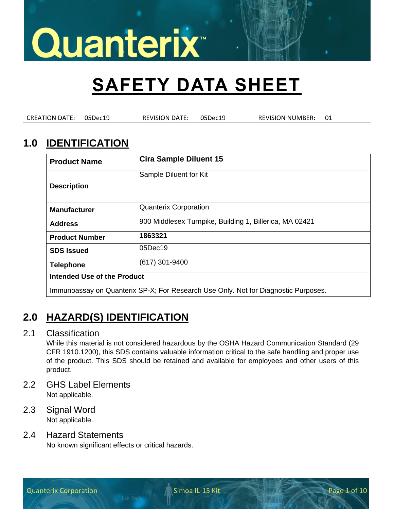## **SAFETY DATA SHEET**

CREATION DATE: 05Dec19 REVISION DATE: 05Dec19 REVISION NUMBER: 01

### **1.0 IDENTIFICATION**

| <b>Product Name</b>                                                                | <b>Cira Sample Diluent 15</b>                           |  |  |
|------------------------------------------------------------------------------------|---------------------------------------------------------|--|--|
| <b>Description</b>                                                                 | Sample Diluent for Kit                                  |  |  |
| <b>Manufacturer</b>                                                                | <b>Quanterix Corporation</b>                            |  |  |
| <b>Address</b>                                                                     | 900 Middlesex Turnpike, Building 1, Billerica, MA 02421 |  |  |
| <b>Product Number</b>                                                              | 1863321                                                 |  |  |
| <b>SDS Issued</b>                                                                  | 05Dec19                                                 |  |  |
| <b>Telephone</b>                                                                   | $(617)$ 301-9400                                        |  |  |
| Intended Use of the Product                                                        |                                                         |  |  |
| Immunoassay on Quanterix SP-X; For Research Use Only. Not for Diagnostic Purposes. |                                                         |  |  |

### **2.0 HAZARD(S) IDENTIFICATION**

#### 2.1 Classification

While this material is not considered hazardous by the OSHA Hazard Communication Standard (29 CFR 1910.1200), this SDS contains valuable information critical to the safe handling and proper use of the product. This SDS should be retained and available for employees and other users of this product.

- 2.2 GHS Label Elements Not applicable.
- 2.3 Signal Word Not applicable.

#### 2.4 Hazard Statements

No known significant effects or critical hazards.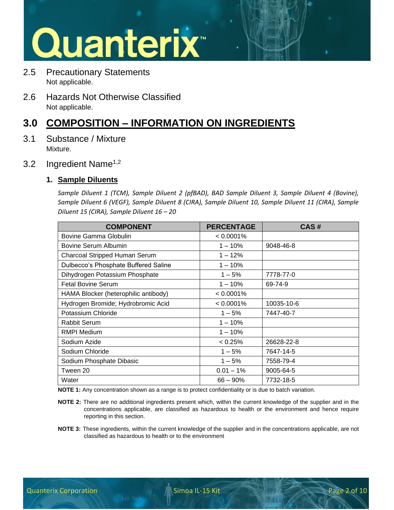- 2.5 Precautionary Statements Not applicable.
- 2.6 Hazards Not Otherwise Classified Not applicable.

### **3.0 COMPOSITION – INFORMATION ON INGREDIENTS**

- 3.1 Substance / Mixture Mixture.
- 3.2 Ingredient Name<sup>1,2</sup>

#### **1. Sample Diluents**

*Sample Diluent 1 (TCM), Sample Diluent 2 (pfBAD), BAD Sample Diluent 3, Sample Diluent 4 (Bovine), Sample Diluent 6 (VEGF), Sample Diluent 8 (CIRA), Sample Diluent 10, Sample Diluent 11 (CIRA), Sample Diluent 15 (CIRA), Sample Diluent 16 – 20* 

| <b>COMPONENT</b>                     | <b>PERCENTAGE</b> | CAS#       |
|--------------------------------------|-------------------|------------|
| Bovine Gamma Globulin                | $< 0.0001\%$      |            |
| Bovine Serum Albumin                 | $1 - 10%$         | 9048-46-8  |
| Charcoal Stripped Human Serum        | $1 - 12%$         |            |
| Dulbecco's Phosphate Buffered Saline | $1 - 10%$         |            |
| Dihydrogen Potassium Phosphate       | $1 - 5%$          | 7778-77-0  |
| <b>Fetal Bovine Serum</b>            | $1 - 10%$         | 69-74-9    |
| HAMA Blocker (heterophilic antibody) | $< 0.0001\%$      |            |
| Hydrogen Bromide; Hydrobromic Acid   | $< 0.0001\%$      | 10035-10-6 |
| Potassium Chloride                   | $1 - 5%$          | 7447-40-7  |
| Rabbit Serum                         | $1 - 10%$         |            |
| <b>RMPI Medium</b>                   | $1 - 10%$         |            |
| Sodium Azide                         | $< 0.25\%$        | 26628-22-8 |
| Sodium Chloride                      | $1 - 5%$          | 7647-14-5  |
| Sodium Phosphate Dibasic             | $1 - 5%$          | 7558-79-4  |
| Tween 20                             | $0.01 - 1\%$      | 9005-64-5  |
| Water                                | $66 - 90%$        | 7732-18-5  |

**NOTE 1:** Any concentration shown as a range is to protect confidentiality or is due to batch variation.

- **NOTE 2:** There are no additional ingredients present which, within the current knowledge of the supplier and in the concentrations applicable, are classified as hazardous to health or the environment and hence require reporting in this section.
- **NOTE 3:** These ingredients, within the current knowledge of the supplier and in the concentrations applicable, are not classified as hazardous to health or to the environment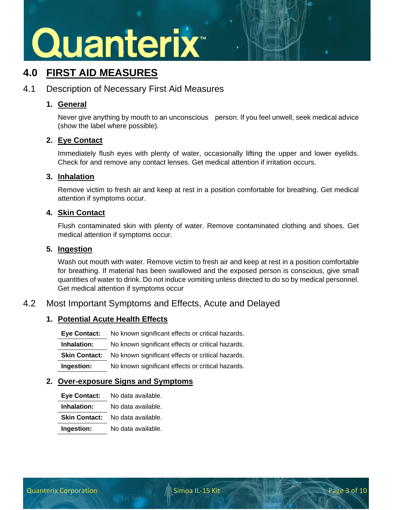### **4.0 FIRST AID MEASURES**

#### 4.1 Description of Necessary First Aid Measures

#### **1. General**

Never give anything by mouth to an unconscious person. If you feel unwell, seek medical advice (show the label where possible).

#### **2. Eye Contact**

Immediately flush eyes with plenty of water, occasionally lifting the upper and lower eyelids. Check for and remove any contact lenses. Get medical attention if irritation occurs.

#### **3. Inhalation**

Remove victim to fresh air and keep at rest in a position comfortable for breathing. Get medical attention if symptoms occur.

#### **4. Skin Contact**

Flush contaminated skin with plenty of water. Remove contaminated clothing and shoes. Get medical attention if symptoms occur.

#### **5. Ingestion**

Wash out mouth with water. Remove victim to fresh air and keep at rest in a position comfortable for breathing. If material has been swallowed and the exposed person is conscious, give small quantities of water to drink. Do not induce vomiting unless directed to do so by medical personnel. Get medical attention if symptoms occur

#### 4.2 Most Important Symptoms and Effects, Acute and Delayed

#### **1. Potential Acute Health Effects**

**Eye Contact:** No known significant effects or critical hazards. **Inhalation:** No known significant effects or critical hazards. **Skin Contact:** No known significant effects or critical hazards. **Ingestion:** No known significant effects or critical hazards.

#### **2. Over-exposure Signs and Symptoms**

| <b>Eye Contact:</b>  | No data available. |
|----------------------|--------------------|
| Inhalation:          | No data available. |
| <b>Skin Contact:</b> | No data available. |
| Ingestion:           | No data available. |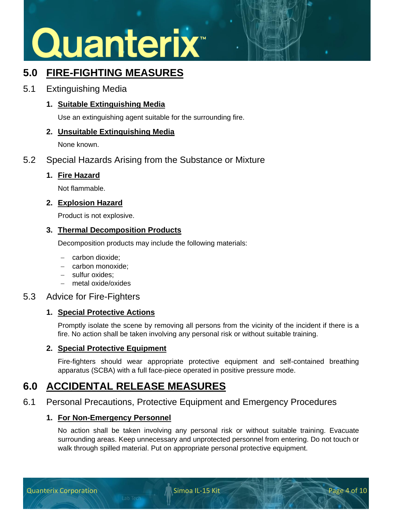### **5.0 FIRE-FIGHTING MEASURES**

#### 5.1 Extinguishing Media

#### **1. Suitable Extinguishing Media**

Use an extinguishing agent suitable for the surrounding fire.

#### **2. Unsuitable Extinguishing Media**

None known.

#### 5.2 Special Hazards Arising from the Substance or Mixture

#### **1. Fire Hazard**

Not flammable.

#### **2. Explosion Hazard**

Product is not explosive.

#### **3. Thermal Decomposition Products**

Decomposition products may include the following materials:

- − carbon dioxide;
- − carbon monoxide;
- − sulfur oxides;
- − metal oxide/oxides

#### 5.3 Advice for Fire-Fighters

#### **1. Special Protective Actions**

Promptly isolate the scene by removing all persons from the vicinity of the incident if there is a fire. No action shall be taken involving any personal risk or without suitable training.

#### **2. Special Protective Equipment**

Fire-fighters should wear appropriate protective equipment and self-contained breathing apparatus (SCBA) with a full face-piece operated in positive pressure mode.

## **6.0 ACCIDENTAL RELEASE MEASURES**

#### 6.1 Personal Precautions, Protective Equipment and Emergency Procedures

#### **1. For Non-Emergency Personnel**

No action shall be taken involving any personal risk or without suitable training. Evacuate surrounding areas. Keep unnecessary and unprotected personnel from entering. Do not touch or walk through spilled material. Put on appropriate personal protective equipment.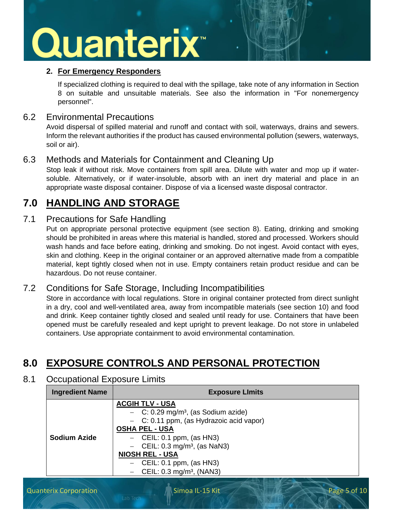#### **2. For Emergency Responders**

If specialized clothing is required to deal with the spillage, take note of any information in Section 8 on suitable and unsuitable materials. See also the information in "For nonemergency personnel".

#### 6.2 Environmental Precautions

Avoid dispersal of spilled material and runoff and contact with soil, waterways, drains and sewers. Inform the relevant authorities if the product has caused environmental pollution (sewers, waterways, soil or air).

#### 6.3 Methods and Materials for Containment and Cleaning Up

Stop leak if without risk. Move containers from spill area. Dilute with water and mop up if watersoluble. Alternatively, or if water-insoluble, absorb with an inert dry material and place in an appropriate waste disposal container. Dispose of via a licensed waste disposal contractor.

### **7.0 HANDLING AND STORAGE**

#### 7.1 Precautions for Safe Handling

Put on appropriate personal protective equipment (see section 8). Eating, drinking and smoking should be prohibited in areas where this material is handled, stored and processed. Workers should wash hands and face before eating, drinking and smoking. Do not ingest. Avoid contact with eyes, skin and clothing. Keep in the original container or an approved alternative made from a compatible material, kept tightly closed when not in use. Empty containers retain product residue and can be hazardous. Do not reuse container.

#### 7.2 Conditions for Safe Storage, Including Incompatibilities

Store in accordance with local regulations. Store in original container protected from direct sunlight in a dry, cool and well-ventilated area, away from incompatible materials (see section 10) and food and drink. Keep container tightly closed and sealed until ready for use. Containers that have been opened must be carefully resealed and kept upright to prevent leakage. Do not store in unlabeled containers. Use appropriate containment to avoid environmental contamination.

### **8.0 EXPOSURE CONTROLS AND PERSONAL PROTECTION**

#### 8.1 Occupational Exposure Limits

| <b>Ingredient Name</b> | <b>Exposure Limits</b>                            |  |  |  |
|------------------------|---------------------------------------------------|--|--|--|
|                        | <b>ACGIH TLV - USA</b>                            |  |  |  |
|                        | $-$ C: 0.29 mg/m <sup>3</sup> , (as Sodium azide) |  |  |  |
|                        | $-$ C: 0.11 ppm, (as Hydrazoic acid vapor)        |  |  |  |
|                        | <b>OSHA PEL - USA</b>                             |  |  |  |
| <b>Sodium Azide</b>    | $-$ CEIL: 0.1 ppm, (as HN3)                       |  |  |  |
|                        | $-$ CEIL: 0.3 mg/m <sup>3</sup> , (as NaN3)       |  |  |  |
|                        | <b>NIOSH REL - USA</b>                            |  |  |  |
|                        | $-$ CEIL: 0.1 ppm, (as HN3)                       |  |  |  |
|                        | $-$ CEIL: 0.3 mg/m <sup>3</sup> , (NAN3)          |  |  |  |
|                        |                                                   |  |  |  |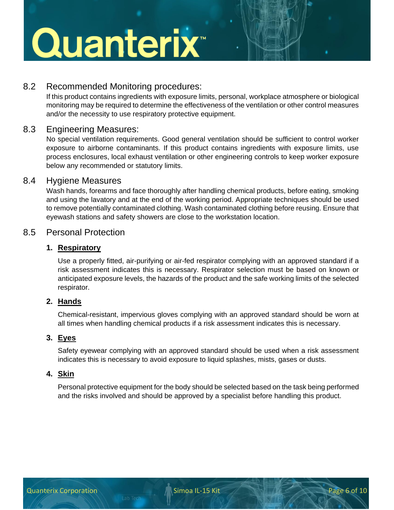#### 8.2 Recommended Monitoring procedures:

If this product contains ingredients with exposure limits, personal, workplace atmosphere or biological monitoring may be required to determine the effectiveness of the ventilation or other control measures and/or the necessity to use respiratory protective equipment.

#### 8.3 Engineering Measures:

No special ventilation requirements. Good general ventilation should be sufficient to control worker exposure to airborne contaminants. If this product contains ingredients with exposure limits, use process enclosures, local exhaust ventilation or other engineering controls to keep worker exposure below any recommended or statutory limits.

#### 8.4 Hygiene Measures

Wash hands, forearms and face thoroughly after handling chemical products, before eating, smoking and using the lavatory and at the end of the working period. Appropriate techniques should be used to remove potentially contaminated clothing. Wash contaminated clothing before reusing. Ensure that eyewash stations and safety showers are close to the workstation location.

#### 8.5 Personal Protection

#### **1. Respiratory**

Use a properly fitted, air-purifying or air-fed respirator complying with an approved standard if a risk assessment indicates this is necessary. Respirator selection must be based on known or anticipated exposure levels, the hazards of the product and the safe working limits of the selected respirator.

#### **2. Hands**

Chemical-resistant, impervious gloves complying with an approved standard should be worn at all times when handling chemical products if a risk assessment indicates this is necessary.

#### **3. Eyes**

Safety eyewear complying with an approved standard should be used when a risk assessment indicates this is necessary to avoid exposure to liquid splashes, mists, gases or dusts.

#### **4. Skin**

Personal protective equipment for the body should be selected based on the task being performed and the risks involved and should be approved by a specialist before handling this product.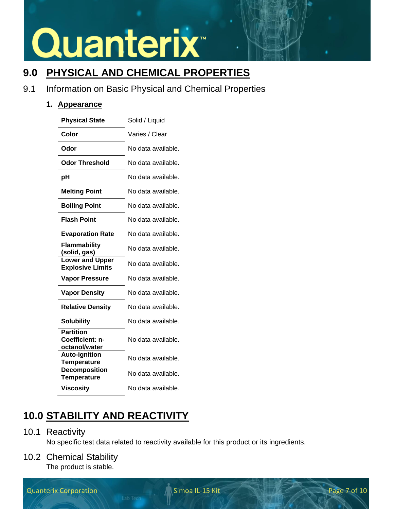## **9.0 PHYSICAL AND CHEMICAL PROPERTIES**

#### 9.1 Information on Basic Physical and Chemical Properties

#### **1. Appearance**

| <b>Physical State</b>                                | Solid / Liquid     |
|------------------------------------------------------|--------------------|
| Color                                                | Varies / Clear     |
| Odor                                                 | No data available. |
| <b>Odor Threshold</b>                                | No data available. |
| рH                                                   | No data available. |
| <b>Melting Point</b>                                 | No data available. |
| <b>Boiling Point</b>                                 | No data available. |
| <b>Flash Point</b>                                   | No data available. |
| <b>Evaporation Rate</b>                              | No data available. |
| Flammability<br>(solid, gas)                         | No data available. |
| <b>Lower and Upper</b><br><b>Explosive Limits</b>    | No data available. |
| <b>Vapor Pressure</b>                                | No data available. |
| <b>Vapor Density</b>                                 | No data available. |
| <b>Relative Density</b>                              | No data available. |
| <b>Solubility</b>                                    | No data available. |
| <b>Partition</b><br>Coefficient: n-<br>octanol/water | No data available. |
| <b>Auto-ignition</b><br><b>Temperature</b>           | No data available. |
| <b>Decomposition</b><br><b>Temperature</b>           | No data available. |
| Viscosity                                            | No data available. |

## **10.0 STABILITY AND REACTIVITY**

#### 10.1 Reactivity

No specific test data related to reactivity available for this product or its ingredients.

#### 10.2 Chemical Stability The product is stable.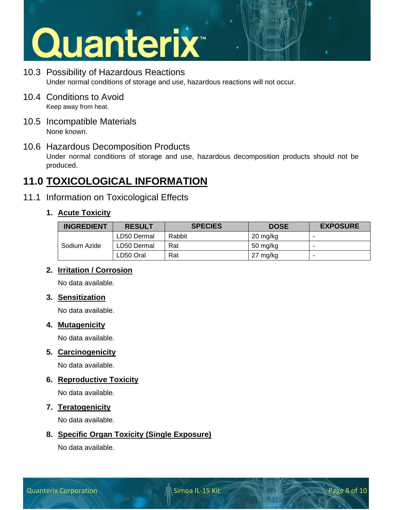- 10.3 Possibility of Hazardous Reactions Under normal conditions of storage and use, hazardous reactions will not occur.
- 10.4 Conditions to Avoid Keep away from heat.
- 10.5 Incompatible Materials None known.
- 10.6 Hazardous Decomposition Products Under normal conditions of storage and use, hazardous decomposition products should not be produced.

### **11.0 TOXICOLOGICAL INFORMATION**

#### 11.1 Information on Toxicological Effects

#### **1. Acute Toxicity**

| <b>INGREDIENT</b> | <b>RESULT</b> | <b>SPECIES</b> | <b>DOSE</b> | <b>EXPOSURE</b> |
|-------------------|---------------|----------------|-------------|-----------------|
|                   | LD50 Dermal   | Rabbit         | 20 mg/kg    |                 |
| Sodium Azide      | LD50 Dermal   | Rat            | 50 mg/kg    |                 |
|                   | LD50 Oral     | Rat            | 27 mg/kg    |                 |

#### **2. Irritation / Corrosion**

No data available.

#### **3. Sensitization**

No data available.

#### **4. Mutagenicity**

No data available.

#### **5. Carcinogenicity**

No data available.

#### **6. Reproductive Toxicity**

No data available.

#### **7. Teratogenicity**

No data available.

#### **8. Specific Organ Toxicity (Single Exposure)**

No data available.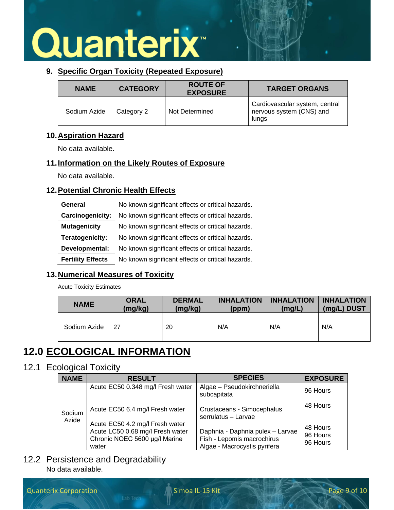#### **9. Specific Organ Toxicity (Repeated Exposure)**

| <b>CATEGORY</b><br><b>NAME</b> |            | <b>ROUTE OF</b><br><b>EXPOSURE</b> | <b>TARGET ORGANS</b>                                                |
|--------------------------------|------------|------------------------------------|---------------------------------------------------------------------|
| Sodium Azide                   | Category 2 | Not Determined                     | Cardiovascular system, central<br>nervous system (CNS) and<br>lungs |

#### **10.Aspiration Hazard**

No data available.

#### **11.Information on the Likely Routes of Exposure**

No data available.

#### **12.Potential Chronic Health Effects**

| General                  | No known significant effects or critical hazards. |
|--------------------------|---------------------------------------------------|
| Carcinogenicity:         | No known significant effects or critical hazards. |
| <b>Mutagenicity</b>      | No known significant effects or critical hazards. |
| Teratogenicity:          | No known significant effects or critical hazards. |
| Developmental:           | No known significant effects or critical hazards. |
| <b>Fertility Effects</b> | No known significant effects or critical hazards. |

#### **13.Numerical Measures of Toxicity**

Acute Toxicity Estimates

| <b>NAME</b>  | ORAL    | <b>DERMAL</b> | <b>INHALATION</b> | <b>INHALATION</b> | <b>INHALATION</b> |
|--------------|---------|---------------|-------------------|-------------------|-------------------|
|              | (mg/kg) | (mg/kg)       | (ppm)             | (mg/L)            | (mg/L) DUST       |
| Sodium Azide | 27      | 20            | N/A               | N/A               | N/A               |

## **12.0 ECOLOGICAL INFORMATION**

#### 12.1 Ecological Toxicity

| <b>NAME</b>     | <b>RESULT</b>                                                                                                 | <b>SPECIES</b>                                                                                 | <b>EXPOSURE</b>                  |
|-----------------|---------------------------------------------------------------------------------------------------------------|------------------------------------------------------------------------------------------------|----------------------------------|
|                 | Acute EC50 0.348 mg/l Fresh water                                                                             | Algae - Pseudokirchneriella<br>subcapitata                                                     | 96 Hours                         |
| Sodium<br>Azide | Acute EC50 6.4 mg/l Fresh water                                                                               | Crustaceans - Simocephalus<br>serrulatus - Larvae                                              | 48 Hours                         |
|                 | Acute EC50 4.2 mg/l Fresh water<br>Acute LC50 0.68 mg/l Fresh water<br>Chronic NOEC 5600 µg/l Marine<br>water | Daphnia - Daphnia pulex - Larvae<br>Fish - Lepomis macrochirus<br>Algae - Macrocystis pyrifera | 48 Hours<br>96 Hours<br>96 Hours |

#### 12.2 Persistence and Degradability No data available.